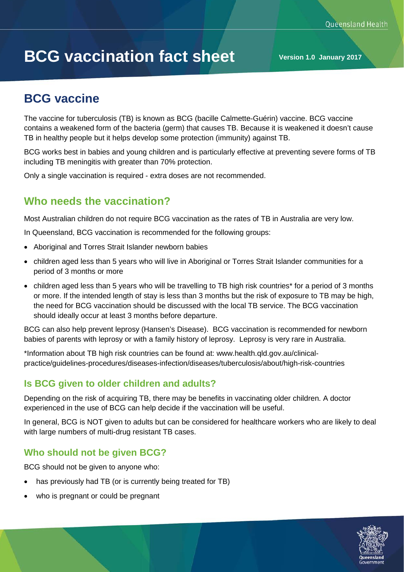# **BCG vaccination fact sheet Version 1.0 January 2017**

# **BCG vaccine**

The vaccine for tuberculosis (TB) is known as BCG (bacille Calmette-Guérin) vaccine. BCG vaccine contains a weakened form of the bacteria (germ) that causes TB. Because it is weakened it doesn't cause TB in healthy people but it helps develop some protection (immunity) against TB.

BCG works best in babies and young children and is particularly effective at preventing severe forms of TB including TB meningitis with greater than 70% protection.

Only a single vaccination is required - extra doses are not recommended.

## **Who needs the vaccination?**

Most Australian children do not require BCG vaccination as the rates of TB in Australia are very low.

In Queensland, BCG vaccination is recommended for the following groups:

- Aboriginal and Torres Strait Islander newborn babies
- children aged less than 5 years who will live in Aboriginal or Torres Strait Islander communities for a period of 3 months or more
- children aged less than 5 years who will be travelling to TB high risk countries\* for a period of 3 months or more. If the intended length of stay is less than 3 months but the risk of exposure to TB may be high, the need for BCG vaccination should be discussed with the local TB service. The BCG vaccination should ideally occur at least 3 months before departure.

BCG can also help prevent leprosy (Hansen's Disease). BCG vaccination is recommended for newborn babies of parents with leprosy or with a family history of leprosy. Leprosy is very rare in Australia.

\*Information about TB high risk countries can be found at: www.health.qld.gov.au/clinicalpractice/guidelines-procedures/diseases-infection/diseases/tuberculosis/about/high-risk-countries

#### **Is BCG given to older children and adults?**

Depending on the risk of acquiring TB, there may be benefits in vaccinating older children. A doctor experienced in the use of BCG can help decide if the vaccination will be useful.

In general, BCG is NOT given to adults but can be considered for healthcare workers who are likely to deal with large numbers of multi-drug resistant TB cases.

## **Who should not be given BCG?**

BCG should not be given to anyone who:

- has previously had TB (or is currently being treated for TB)
- who is pregnant or could be pregnant

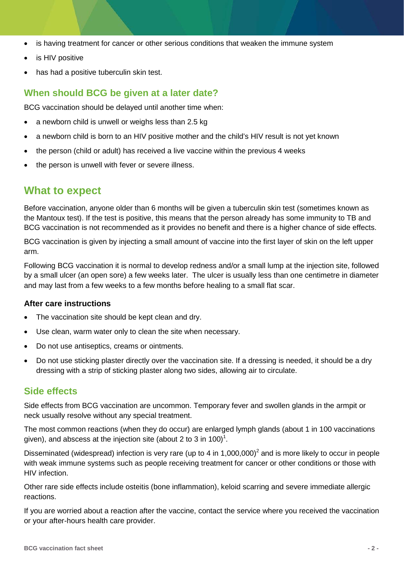- is having treatment for cancer or other serious conditions that weaken the immune system
- is HIV positive
- has had a positive tuberculin skin test.

#### **When should BCG be given at a later date?**

BCG vaccination should be delayed until another time when:

- a newborn child is unwell or weighs less than 2.5 kg
- a newborn child is born to an HIV positive mother and the child's HIV result is not yet known
- the person (child or adult) has received a live vaccine within the previous 4 weeks
- the person is unwell with fever or severe illness.

## **What to expect**

Before vaccination, anyone older than 6 months will be given a tuberculin skin test (sometimes known as the Mantoux test). If the test is positive, this means that the person already has some immunity to TB and BCG vaccination is not recommended as it provides no benefit and there is a higher chance of side effects.

BCG vaccination is given by injecting a small amount of vaccine into the first layer of skin on the left upper arm.

Following BCG vaccination it is normal to develop redness and/or a small lump at the injection site, followed by a small ulcer (an open sore) a few weeks later. The ulcer is usually less than one centimetre in diameter and may last from a few weeks to a few months before healing to a small flat scar.

#### **After care instructions**

- The vaccination site should be kept clean and dry.
- Use clean, warm water only to clean the site when necessary.
- Do not use antiseptics, creams or ointments.
- Do not use sticking plaster directly over the vaccination site. If a dressing is needed, it should be a dry dressing with a strip of sticking plaster along two sides, allowing air to circulate.

#### **Side effects**

Side effects from BCG vaccination are uncommon. Temporary fever and swollen glands in the armpit or neck usually resolve without any special treatment.

The most common reactions (when they do occur) are enlarged lymph glands (about 1 in 100 vaccinations given), and abscess at the injection site (about 2 to 3 in 100)<sup>1</sup>.

Disseminated (widespread) infection is very rare (up to 4 in  $1,000,000$ <sup>2</sup> and is more likely to occur in people with weak immune systems such as people receiving treatment for cancer or other conditions or those with HIV infection.

Other rare side effects include osteitis (bone inflammation), keloid scarring and severe immediate allergic reactions.

If you are worried about a reaction after the vaccine, contact the service where you received the vaccination or your after-hours health care provider.